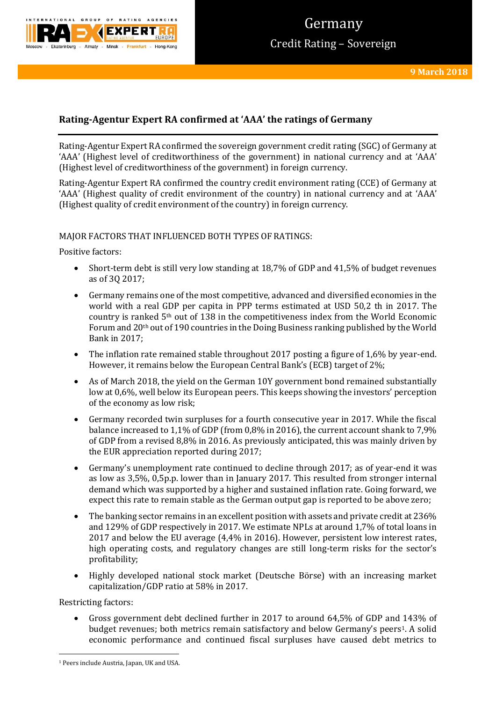

# Germany Credit Rating – Sovereign

# **Rating-Agentur Expert RA confirmed at 'AAA' the ratings of Germany**

Rating-Agentur Expert RA confirmed the sovereign government credit rating (SGC) of Germany at 'AAA' (Highest level of creditworthiness of the government) in national currency and at 'AAA' (Highest level of creditworthiness of the government) in foreign currency.

Rating-Agentur Expert RA confirmed the country credit environment rating (CCE) of Germany at 'AAA' (Highest quality of credit environment of the country) in national currency and at 'AAA' (Highest quality of credit environment of the country) in foreign currency.

### MAJOR FACTORS THAT INFLUENCED BOTH TYPES OF RATINGS:

Positive factors:

- Short-term debt is still very low standing at 18,7% of GDP and 41,5% of budget revenues as of 3Q 2017;
- Germany remains one of the most competitive, advanced and diversified economies in the world with a real GDP per capita in PPP terms estimated at USD 50,2 th in 2017. The country is ranked 5th out of 138 in the competitiveness index from the World Economic Forum and 20th out of 190 countries in the Doing Business ranking published by the World Bank in 2017;
- The inflation rate remained stable throughout 2017 posting a figure of 1,6% by year-end. However, it remains below the European Central Bank's (ECB) target of 2%;
- As of March 2018, the yield on the German 10Y government bond remained substantially low at 0,6%, well below its European peers. This keeps showing the investors' perception of the economy as low risk;
- Germany recorded twin surpluses for a fourth consecutive year in 2017. While the fiscal balance increased to 1,1% of GDP (from 0,8% in 2016), the current account shank to 7,9% of GDP from a revised 8,8% in 2016. As previously anticipated, this was mainly driven by the EUR appreciation reported during 2017;
- Germany's unemployment rate continued to decline through 2017; as of year-end it was as low as 3,5%, 0,5p.p. lower than in January 2017. This resulted from stronger internal demand which was supported by a higher and sustained inflation rate. Going forward, we expect this rate to remain stable as the German output gap is reported to be above zero;
- The banking sector remains in an excellent position with assets and private credit at 236% and 129% of GDP respectively in 2017. We estimate NPLs at around 1,7% of total loans in 2017 and below the EU average (4,4% in 2016). However, persistent low interest rates, high operating costs, and regulatory changes are still long-term risks for the sector's profitability;
- Highly developed national stock market (Deutsche Börse) with an increasing market capitalization/GDP ratio at 58% in 2017.

Restricting factors:

**.** 

 Gross government debt declined further in 2017 to around 64,5% of GDP and 143% of budget revenues; both metrics remain satisfactory and below Germany's peers1. A solid economic performance and continued fiscal surpluses have caused debt metrics to

<sup>&</sup>lt;sup>1</sup> Peers include Austria, Japan, UK and USA.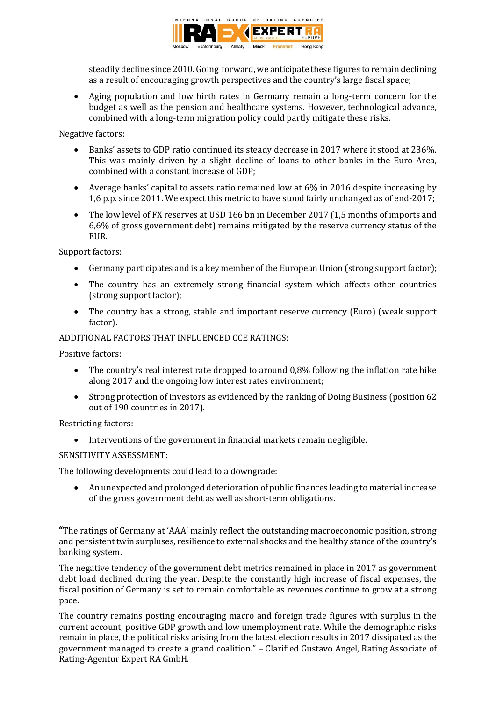

steadily decline since 2010. Going forward, we anticipate these figures to remain declining as a result of encouraging growth perspectives and the country's large fiscal space;

 Aging population and low birth rates in Germany remain a long-term concern for the budget as well as the pension and healthcare systems. However, technological advance, combined with a long-term migration policy could partly mitigate these risks.

Negative factors:

- Banks' assets to GDP ratio continued its steady decrease in 2017 where it stood at 236%. This was mainly driven by a slight decline of loans to other banks in the Euro Area, combined with a constant increase of GDP;
- Average banks' capital to assets ratio remained low at 6% in 2016 despite increasing by 1,6 p.p. since 2011. We expect this metric to have stood fairly unchanged as of end-2017;
- The low level of FX reserves at USD 166 bn in December 2017 (1,5 months of imports and 6,6% of gross government debt) remains mitigated by the reserve currency status of the EUR.

Support factors:

- Germany participates and is a key member of the European Union (strong support factor);
- The country has an extremely strong financial system which affects other countries (strong support factor);
- The country has a strong, stable and important reserve currency (Euro) (weak support factor).

ADDITIONAL FACTORS THAT INFLUENCED CCE RATINGS:

Positive factors:

- The country's real interest rate dropped to around 0,8% following the inflation rate hike along 2017 and the ongoing low interest rates environment;
- Strong protection of investors as evidenced by the ranking of Doing Business (position 62 out of 190 countries in 2017).

Restricting factors:

Interventions of the government in financial markets remain negligible.

### SENSITIVITY ASSESSMENT:

The following developments could lead to a downgrade:

 An unexpected and prolonged deterioration of public finances leading to material increase of the gross government debt as well as short-term obligations.

**"**The ratings of Germany at 'AAA' mainly reflect the outstanding macroeconomic position, strong and persistent twin surpluses, resilience to external shocks and the healthy stance of the country's banking system.

The negative tendency of the government debt metrics remained in place in 2017 as government debt load declined during the year. Despite the constantly high increase of fiscal expenses, the fiscal position of Germany is set to remain comfortable as revenues continue to grow at a strong pace.

The country remains posting encouraging macro and foreign trade figures with surplus in the current account, positive GDP growth and low unemployment rate. While the demographic risks remain in place, the political risks arising from the latest election results in 2017 dissipated as the government managed to create a grand coalition." – Clarified Gustavo Angel, Rating Associate of Rating-Agentur Expert RA GmbH.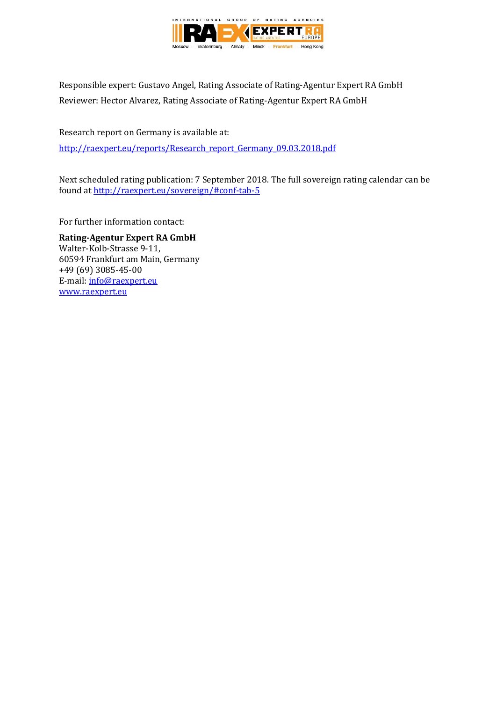

Responsible expert: Gustavo Angel, Rating Associate of Rating-Agentur Expert RA GmbH Reviewer: Hector Alvarez, Rating Associate of Rating-Agentur Expert RA GmbH

Research report on Germany is available at: [http://raexpert.eu/reports/Research\\_report\\_Germany\\_09.03.2018.pdf](http://raexpert.eu/reports/Research_report_Germany_09.03.2018.pdf)

Next scheduled rating publication: 7 September 2018. The full sovereign rating calendar can be found at <http://raexpert.eu/sovereign/#conf-tab-5>

For further information contact:

**Rating-Agentur Expert RA GmbH** Walter-Kolb-Strasse 9-11, 60594 Frankfurt am Main, Germany +49 (69) 3085-45-00 E-mail[: info@raexpert.eu](mailto:info@raexpert.eu) [www.raexpert.eu](http://raexpert.eu/)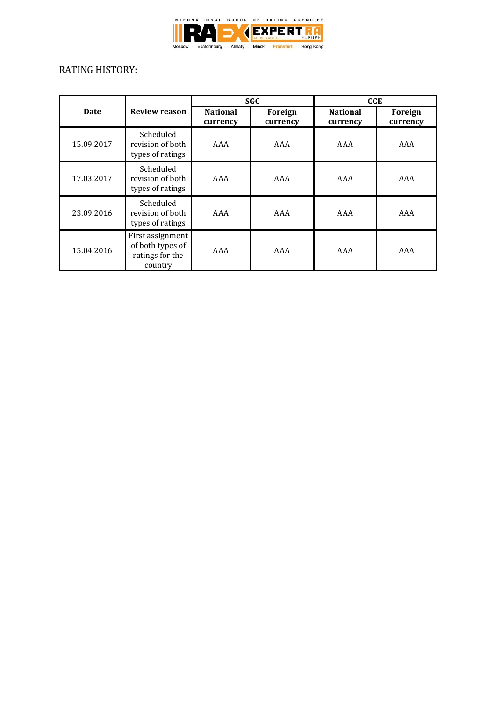

## RATING HISTORY:

|            |                                                                    | <b>SGC</b>                  |                     | <b>CCE</b>                  |                     |
|------------|--------------------------------------------------------------------|-----------------------------|---------------------|-----------------------------|---------------------|
| Date       | <b>Review reason</b>                                               | <b>National</b><br>currency | Foreign<br>currency | <b>National</b><br>currency | Foreign<br>currency |
| 15.09.2017 | Scheduled<br>revision of both<br>types of ratings                  | AAA                         | AAA                 | AAA                         | AAA                 |
| 17.03.2017 | Scheduled<br>revision of both<br>types of ratings                  | AAA                         | AAA                 | AAA                         | AAA                 |
| 23.09.2016 | Scheduled<br>revision of both<br>types of ratings                  | AAA                         | AAA                 | AAA                         | AAA                 |
| 15.04.2016 | First assignment<br>of both types of<br>ratings for the<br>country | AAA                         | AAA                 | AAA                         | AAA                 |